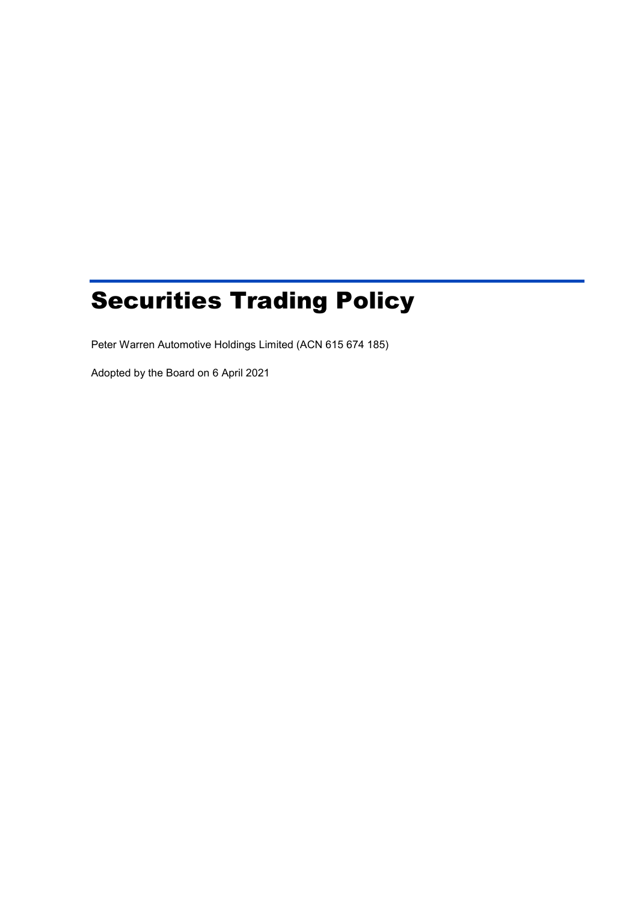# Securities Trading Policy

Peter Warren Automotive Holdings Limited (ACN 615 674 185)

Adopted by the Board on 6 April 2021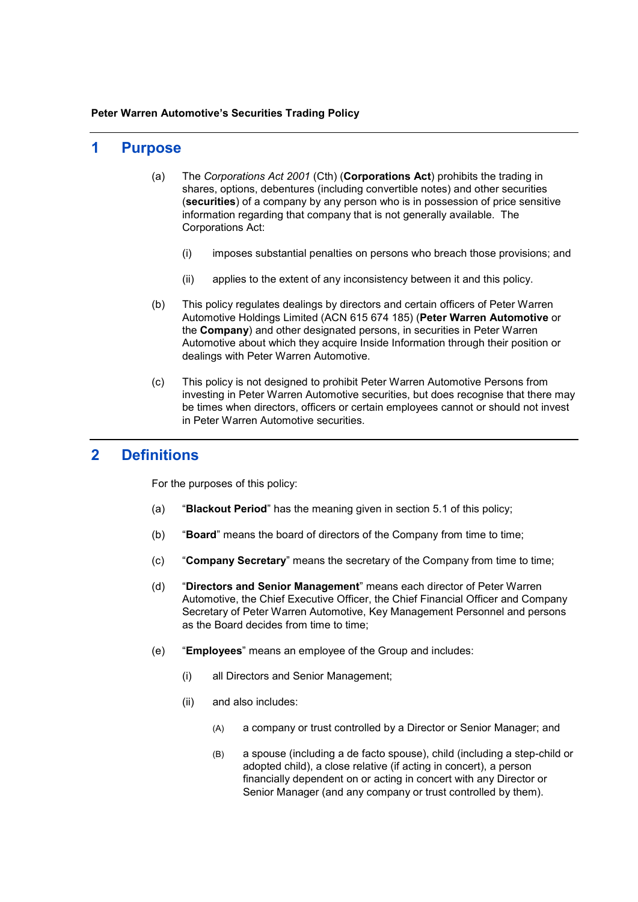#### **Peter Warren Automotive's Securities Trading Policy**

### **1 Purpose**

- (a) The *Corporations Act 2001* (Cth) (**Corporations Act**) prohibits the trading in shares, options, debentures (including convertible notes) and other securities (**securities**) of a company by any person who is in possession of price sensitive information regarding that company that is not generally available. The Corporations Act:
	- (i) imposes substantial penalties on persons who breach those provisions; and
	- (ii) applies to the extent of any inconsistency between it and this policy.
- (b) This policy regulates dealings by directors and certain officers of Peter Warren Automotive Holdings Limited (ACN 615 674 185) (**Peter Warren Automotive** or the **Company**) and other designated persons, in securities in Peter Warren Automotive about which they acquire Inside Information through their position or dealings with Peter Warren Automotive.
- (c) This policy is not designed to prohibit Peter Warren Automotive Persons from investing in Peter Warren Automotive securities, but does recognise that there may be times when directors, officers or certain employees cannot or should not invest in Peter Warren Automotive securities.

## **2 Definitions**

For the purposes of this policy:

- (a) "**Blackout Period**" has the meaning given in section [5.1](#page-4-0) of this policy;
- (b) "**Board**" means the board of directors of the Company from time to time;
- (c) "**Company Secretary**" means the secretary of the Company from time to time;
- (d) "**Directors and Senior Management**" means each director of Peter Warren Automotive, the Chief Executive Officer, the Chief Financial Officer and Company Secretary of Peter Warren Automotive, Key Management Personnel and persons as the Board decides from time to time;
- (e) "**Employees**" means an employee of the Group and includes:
	- (i) all Directors and Senior Management;
	- (ii) and also includes:
		- (A) a company or trust controlled by a Director or Senior Manager; and
		- (B) a spouse (including a de facto spouse), child (including a step-child or adopted child), a close relative (if acting in concert), a person financially dependent on or acting in concert with any Director or Senior Manager (and any company or trust controlled by them).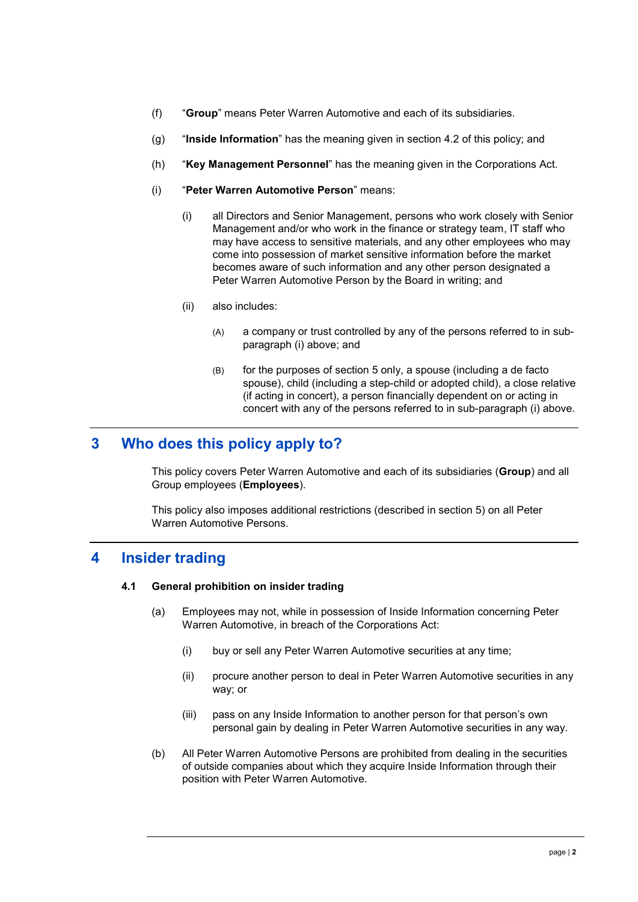- (f) "**Group**" means Peter Warren Automotive and each of its subsidiaries.
- (g) "**Inside Information**" has the meaning given in section [4.2](#page-3-0) of this policy; and
- (h) "**Key Management Personnel**" has the meaning given in the Corporations Act.
- (i) "**Peter Warren Automotive Person**" means:
	- (i) all Directors and Senior Management, persons who work closely with Senior Management and/or who work in the finance or strategy team, IT staff who may have access to sensitive materials, and any other employees who may come into possession of market sensitive information before the market becomes aware of such information and any other person designated a Peter Warren Automotive Person by the Board in writing; and
	- (ii) also includes:
		- (A) a company or trust controlled by any of the persons referred to in subparagraph (i) above; and
		- (B) for the purposes of section [5](#page-3-1) only, a spouse (including a de facto spouse), child (including a step-child or adopted child), a close relative (if acting in concert), a person financially dependent on or acting in concert with any of the persons referred to in sub-paragraph (i) above.

# **3 Who does this policy apply to?**

This policy covers Peter Warren Automotive and each of its subsidiaries (**Group**) and all Group employees (**Employees**).

This policy also imposes additional restrictions (described in section [5\)](#page-3-1) on all Peter Warren Automotive Persons.

## <span id="page-2-0"></span>**4 Insider trading**

#### **4.1 General prohibition on insider trading**

- (a) Employees may not, while in possession of Inside Information concerning Peter Warren Automotive, in breach of the Corporations Act:
	- (i) buy or sell any Peter Warren Automotive securities at any time;
	- (ii) procure another person to deal in Peter Warren Automotive securities in any way; or
	- (iii) pass on any Inside Information to another person for that person's own personal gain by dealing in Peter Warren Automotive securities in any way.
- (b) All Peter Warren Automotive Persons are prohibited from dealing in the securities of outside companies about which they acquire Inside Information through their position with Peter Warren Automotive.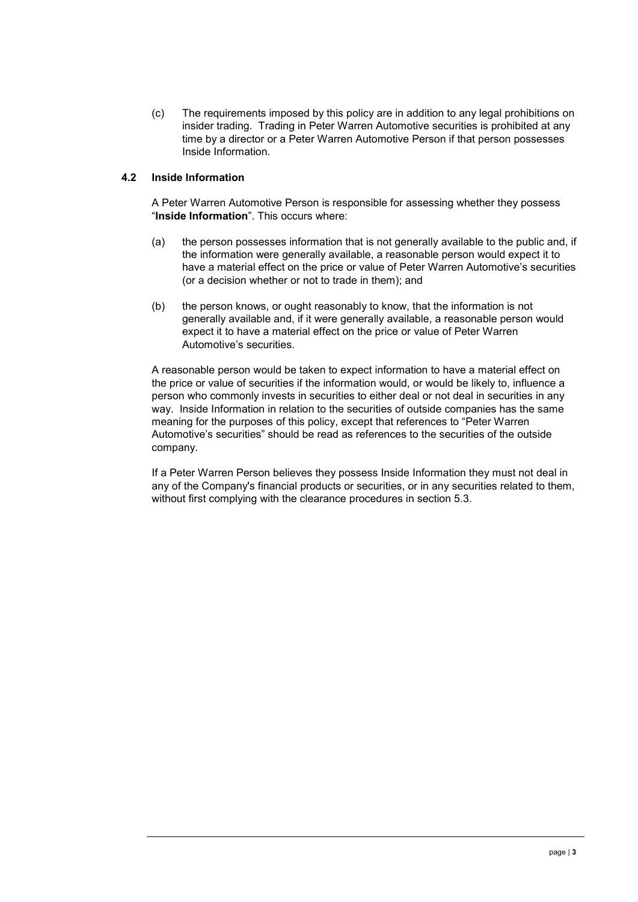(c) The requirements imposed by this policy are in addition to any legal prohibitions on insider trading. Trading in Peter Warren Automotive securities is prohibited at any time by a director or a Peter Warren Automotive Person if that person possesses Inside Information.

#### <span id="page-3-0"></span>**4.2 Inside Information**

A Peter Warren Automotive Person is responsible for assessing whether they possess "**Inside Information**". This occurs where:

- (a) the person possesses information that is not generally available to the public and, if the information were generally available, a reasonable person would expect it to have a material effect on the price or value of Peter Warren Automotive's securities (or a decision whether or not to trade in them); and
- (b) the person knows, or ought reasonably to know, that the information is not generally available and, if it were generally available, a reasonable person would expect it to have a material effect on the price or value of Peter Warren Automotive's securities.

A reasonable person would be taken to expect information to have a material effect on the price or value of securities if the information would, or would be likely to, influence a person who commonly invests in securities to either deal or not deal in securities in any way. Inside Information in relation to the securities of outside companies has the same meaning for the purposes of this policy, except that references to "Peter Warren Automotive's securities" should be read as references to the securities of the outside company.

<span id="page-3-1"></span>If a Peter Warren Person believes they possess Inside Information they must not deal in any of the Company's financial products or securities, or in any securities related to them, without first complying with the clearance procedures in section [5.3.](#page-4-1)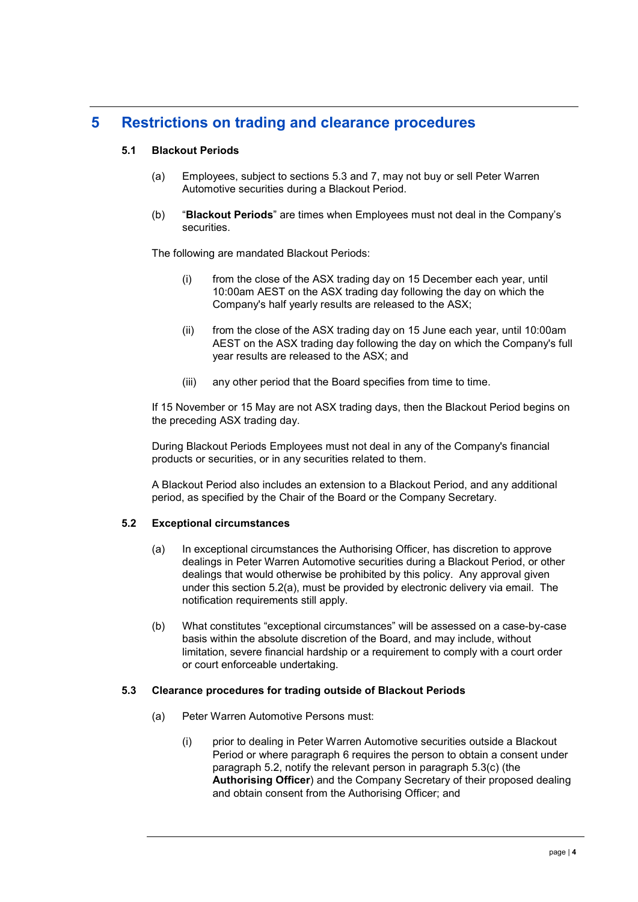# <span id="page-4-0"></span>**5 Restrictions on trading and clearance procedures**

## **5.1 Blackout Periods**

- (a) Employees, subject to sections [5.3](#page-4-1) and [7,](#page-6-0) may not buy or sell Peter Warren Automotive securities during a Blackout Period.
- (b) "**Blackout Periods**" are times when Employees must not deal in the Company's securities.

The following are mandated Blackout Periods:

- (i) from the close of the ASX trading day on 15 December each year, until 10:00am AEST on the ASX trading day following the day on which the Company's half yearly results are released to the ASX;
- (ii) from the close of the ASX trading day on 15 June each year, until 10:00am AEST on the ASX trading day following the day on which the Company's full year results are released to the ASX; and
- (iii) any other period that the Board specifies from time to time.

If 15 November or 15 May are not ASX trading days, then the Blackout Period begins on the preceding ASX trading day.

During Blackout Periods Employees must not deal in any of the Company's financial products or securities, or in any securities related to them.

A Blackout Period also includes an extension to a Blackout Period, and any additional period, as specified by the Chair of the Board or the Company Secretary.

#### <span id="page-4-3"></span>**5.2 Exceptional circumstances**

- (a) In exceptional circumstances the Authorising Officer, has discretion to approve dealings in Peter Warren Automotive securities during a Blackout Period, or other dealings that would otherwise be prohibited by this policy. Any approval given under this section 5.2[\(a\),](#page-4-2) must be provided by electronic delivery via email. The notification requirements still apply.
- (b) What constitutes "exceptional circumstances" will be assessed on a case-by-case basis within the absolute discretion of the Board, and may include, without limitation, severe financial hardship or a requirement to comply with a court order or court enforceable undertaking.

#### <span id="page-4-2"></span><span id="page-4-1"></span>**5.3 Clearance procedures for trading outside of Blackout Periods**

- (a) Peter Warren Automotive Persons must:
	- (i) prior to dealing in Peter Warren Automotive securities outside a Blackout Period or where paragraph [6](#page-5-0) requires the person to obtain a consent under paragraph [5.2,](#page-4-3) notify the relevant person in paragraph [5.3\(c\)](#page-5-1) (the **Authorising Officer**) and the Company Secretary of their proposed dealing and obtain consent from the Authorising Officer; and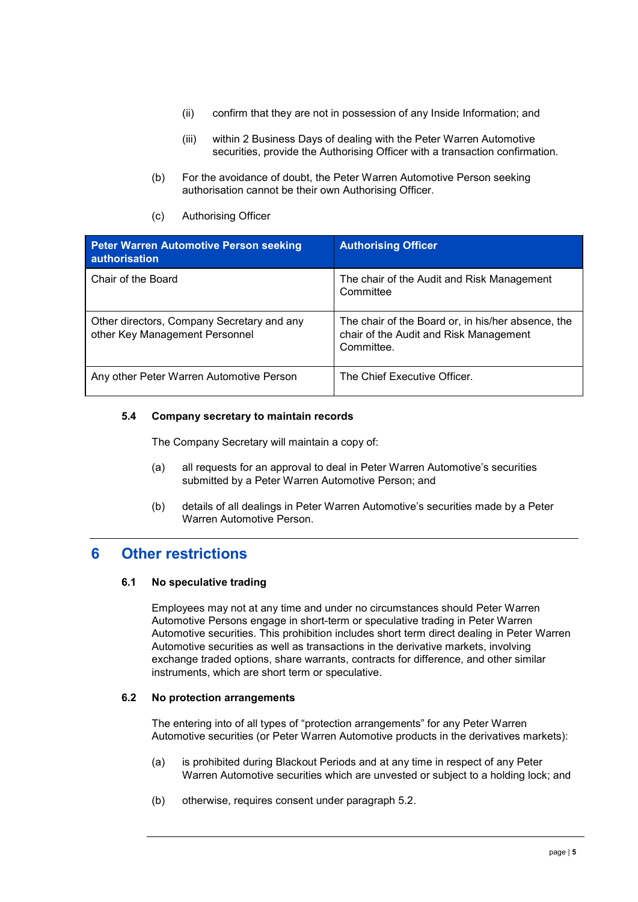- (ii) confirm that they are not in possession of any Inside Information; and
- (iii) within 2 Business Days of dealing with the Peter Warren Automotive securities, provide the Authorising Officer with a transaction confirmation.
- (b) For the avoidance of doubt, the Peter Warren Automotive Person seeking authorisation cannot be their own Authorising Officer.
- (c) Authorising Officer

<span id="page-5-1"></span>

| Peter Warren Automotive Person seeking<br>authorisation                      | <b>Authorising Officer</b>                                                                                 |
|------------------------------------------------------------------------------|------------------------------------------------------------------------------------------------------------|
| Chair of the Board                                                           | The chair of the Audit and Risk Management<br>Committee                                                    |
| Other directors, Company Secretary and any<br>other Key Management Personnel | The chair of the Board or, in his/her absence, the<br>chair of the Audit and Risk Management<br>Committee. |
| Any other Peter Warren Automotive Person                                     | The Chief Executive Officer.                                                                               |

#### **5.4 Company secretary to maintain records**

The Company Secretary will maintain a copy of:

- (a) all requests for an approval to deal in Peter Warren Automotive's securities submitted by a Peter Warren Automotive Person; and
- (b) details of all dealings in Peter Warren Automotive's securities made by a Peter Warren Automotive Person.

# <span id="page-5-0"></span>**6 Other restrictions**

#### **6.1 No speculative trading**

Employees may not at any time and under no circumstances should Peter Warren Automotive Persons engage in short-term or speculative trading in Peter Warren Automotive securities. This prohibition includes short term direct dealing in Peter Warren Automotive securities as well as transactions in the derivative markets, involving exchange traded options, share warrants, contracts for difference, and other similar instruments, which are short term or speculative.

#### **6.2 No protection arrangements**

The entering into of all types of "protection arrangements" for any Peter Warren Automotive securities (or Peter Warren Automotive products in the derivatives markets):

- (a) is prohibited during Blackout Periods and at any time in respect of any Peter Warren Automotive securities which are unvested or subject to a holding lock; and
- (b) otherwise, requires consent under paragraph [5.2.](#page-4-3)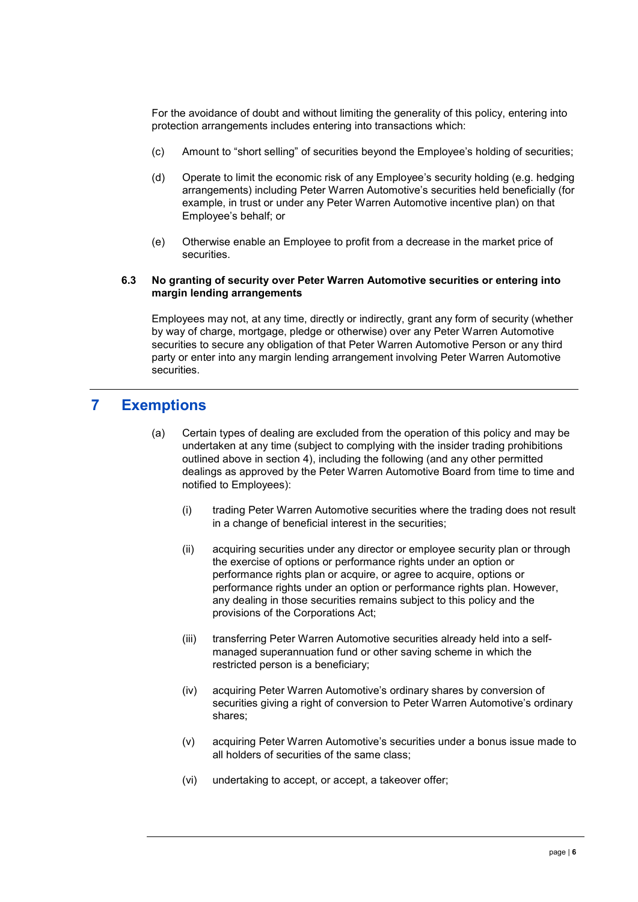For the avoidance of doubt and without limiting the generality of this policy, entering into protection arrangements includes entering into transactions which:

- (c) Amount to "short selling" of securities beyond the Employee's holding of securities;
- (d) Operate to limit the economic risk of any Employee's security holding (e.g. hedging arrangements) including Peter Warren Automotive's securities held beneficially (for example, in trust or under any Peter Warren Automotive incentive plan) on that Employee's behalf; or
- (e) Otherwise enable an Employee to profit from a decrease in the market price of securities.

#### **6.3 No granting of security over Peter Warren Automotive securities or entering into margin lending arrangements**

Employees may not, at any time, directly or indirectly, grant any form of security (whether by way of charge, mortgage, pledge or otherwise) over any Peter Warren Automotive securities to secure any obligation of that Peter Warren Automotive Person or any third party or enter into any margin lending arrangement involving Peter Warren Automotive securities.

## <span id="page-6-1"></span><span id="page-6-0"></span>**7 Exemptions**

- (a) Certain types of dealing are excluded from the operation of this policy and may be undertaken at any time (subject to complying with the insider trading prohibitions outlined above in section [4\)](#page-2-0), including the following (and any other permitted dealings as approved by the Peter Warren Automotive Board from time to time and notified to Employees):
	- (i) trading Peter Warren Automotive securities where the trading does not result in a change of beneficial interest in the securities;
	- (ii) acquiring securities under any director or employee security plan or through the exercise of options or performance rights under an option or performance rights plan or acquire, or agree to acquire, options or performance rights under an option or performance rights plan. However, any dealing in those securities remains subject to this policy and the provisions of the Corporations Act;
	- (iii) transferring Peter Warren Automotive securities already held into a selfmanaged superannuation fund or other saving scheme in which the restricted person is a beneficiary;
	- (iv) acquiring Peter Warren Automotive's ordinary shares by conversion of securities giving a right of conversion to Peter Warren Automotive's ordinary shares;
	- (v) acquiring Peter Warren Automotive's securities under a bonus issue made to all holders of securities of the same class;
	- (vi) undertaking to accept, or accept, a takeover offer;